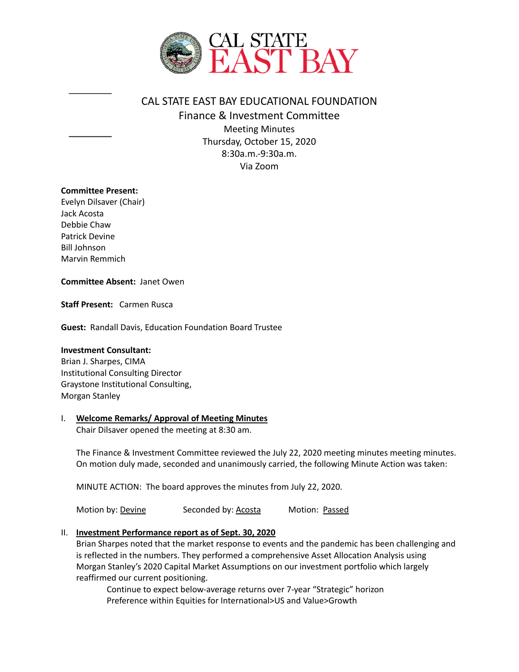

# CAL STATE EAST BAY EDUCATIONAL FOUNDATION Finance & Investment Committee Meeting Minutes Thursday, October 15, 2020 8:30a.m.-9:30a.m. Via Zoom

### **Committee Present:**

Evelyn Dilsaver (Chair) Jack Acosta Debbie Chaw Patrick Devine Bill Johnson Marvin Remmich

#### **Committee Absent:** Janet Owen

**Staff Present:** Carmen Rusca

**Guest:** Randall Davis, Education Foundation Board Trustee

#### **Investment Consultant:**

Brian J. Sharpes, CIMA Institutional Consulting Director Graystone Institutional Consulting, Morgan Stanley

### I. **Welcome Remarks/ Approval of Meeting Minutes**

Chair Dilsaver opened the meeting at 8:30 am.

The Finance & Investment Committee reviewed the July 22, 2020 meeting minutes meeting minutes. On motion duly made, seconded and unanimously carried, the following Minute Action was taken:

MINUTE ACTION: The board approves the minutes from July 22, 2020.

Motion by: Devine Seconded by: Acosta Motion: Passed

### II. **Investment Performance report as of Sept. 30, 2020**

Brian Sharpes noted that the market response to events and the pandemic has been challenging and is reflected in the numbers. They performed a comprehensive Asset Allocation Analysis using Morgan Stanley's 2020 Capital Market Assumptions on our investment portfolio which largely reaffirmed our current positioning.

Continue to expect below-average returns over 7-year "Strategic" horizon Preference within Equities for International>US and Value>Growth